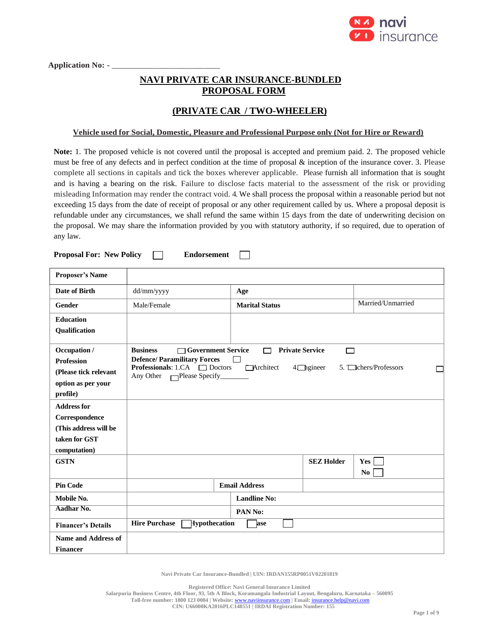

Application No: - \_

# **NAVI PRIVATE CAR INSURANCE-BUNDLED PROPOSAL FORM**

# **(PRIVATE CAR / TWO-WHEELER)**

### **Vehicle used for Social, Domestic, Pleasure and Professional Purpose only (Not for Hire or Reward)**

**Note:** 1. The proposed vehicle is not covered until the proposal is accepted and premium paid. 2. The proposed vehicle must be free of any defects and in perfect condition at the time of proposal & inception of the insurance cover. 3. Please complete all sections in capitals and tick the boxes wherever applicable. Please furnish all information that is sought and is having a bearing on the risk. Failure to disclose facts material to the assessment of the risk or providing misleading Information may render the contract void. 4. We shall process the proposal within a reasonable period but not exceeding 15 days from the date of receipt of proposal or any other requirement called by us. Where a proposal deposit is refundable under any circumstances, we shall refund the same within 15 days from the date of underwriting decision on the proposal. We may share the information provided by you with statutory authority, if so required, due to operation of any law.

**Proposal For: New Policy Endorsement**  $\Box$ 

| <b>Proposer's Name</b>                                                                         |                                                                                                                                                               |                                     |                              |                       |
|------------------------------------------------------------------------------------------------|---------------------------------------------------------------------------------------------------------------------------------------------------------------|-------------------------------------|------------------------------|-----------------------|
| Date of Birth                                                                                  | dd/mm/yyyy                                                                                                                                                    | Age                                 |                              |                       |
| Gender                                                                                         | Male/Female                                                                                                                                                   | <b>Marital Status</b>               |                              | Married/Unmarried     |
| <b>Education</b><br>Qualification                                                              |                                                                                                                                                               |                                     |                              |                       |
| Occupation /<br><b>Profession</b><br>(Please tick relevant<br>option as per your<br>profile)   | <b>Business</b><br>□ Government Service<br><b>Defence/Paramilitary Forces</b><br><b>Professionals:</b> 1.CA $\Box$ Doctors<br>Any Other $\Box$ Please Specify | <b>Private Service</b><br>Architect | $\Box$<br>$4$ $\Box$ ngineer | 5. Chers/Professors   |
| <b>Address for</b><br>Correspondence<br>(This address will be<br>taken for GST<br>computation) |                                                                                                                                                               |                                     |                              |                       |
| <b>GSTN</b>                                                                                    |                                                                                                                                                               |                                     | <b>SEZ Holder</b>            | Yes<br>N <sub>0</sub> |
| <b>Pin Code</b>                                                                                |                                                                                                                                                               | <b>Email Address</b>                |                              |                       |
| Mobile No.                                                                                     |                                                                                                                                                               | <b>Landline No:</b>                 |                              |                       |
| Aadhar No.                                                                                     |                                                                                                                                                               | PAN No:                             |                              |                       |
| <b>Financer's Details</b>                                                                      | <b>Hire Purchase</b><br>Hypothecation                                                                                                                         | ase                                 |                              |                       |
| <b>Name and Address of</b><br><b>Financer</b>                                                  |                                                                                                                                                               |                                     |                              |                       |

**Navi Private Car Insurance-Bundled | UIN: IRDAN155RP0051V02201819**

**Registered Office: Navi General Insurance Limited**

**Toll-free number: 1800 123 0004 | Website:** [www.naviinsurance.com](http://www.naviinsurance.com/) **| Email:** [insurance.help@navi.com](mailto:insurance.help@navi.com)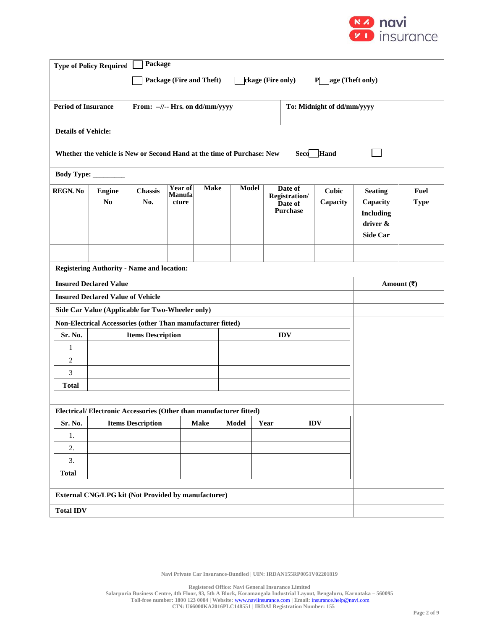

|                            | <b>Type of Policy Required</b>                                                         | Package                                                            |                                          |             |              |      |                                                               |                            |                                                                               |                            |
|----------------------------|----------------------------------------------------------------------------------------|--------------------------------------------------------------------|------------------------------------------|-------------|--------------|------|---------------------------------------------------------------|----------------------------|-------------------------------------------------------------------------------|----------------------------|
|                            | Package (Fire and Theft)<br>ckage (Fire only)<br>age (Theft only)<br>P.                |                                                                    |                                          |             |              |      |                                                               |                            |                                                                               |                            |
|                            |                                                                                        |                                                                    |                                          |             |              |      |                                                               |                            |                                                                               |                            |
| <b>Period of Insurance</b> |                                                                                        | From: --//-- Hrs. on dd/mm/yyyy                                    |                                          |             |              |      |                                                               | To: Midnight of dd/mm/yyyy |                                                                               |                            |
| <b>Details of Vehicle:</b> |                                                                                        |                                                                    |                                          |             |              |      |                                                               |                            |                                                                               |                            |
|                            | Whether the vehicle is New or Second Hand at the time of Purchase: New<br>Hand<br>Seco |                                                                    |                                          |             |              |      |                                                               |                            |                                                                               |                            |
|                            | Body Type: ________                                                                    |                                                                    |                                          |             |              |      |                                                               |                            |                                                                               |                            |
| <b>REGN. No</b>            | <b>Engine</b><br>N <sub>0</sub>                                                        | <b>Chassis</b><br>No.                                              | <b>Year of</b><br><b>Manufa</b><br>cture | <b>Make</b> | <b>Model</b> |      | Date of<br><b>Registration/</b><br>Date of<br><b>Purchase</b> | <b>Cubic</b><br>Capacity   | <b>Seating</b><br>Capacity<br><b>Including</b><br>driver &<br><b>Side Car</b> | <b>Fuel</b><br><b>Type</b> |
|                            |                                                                                        |                                                                    |                                          |             |              |      |                                                               |                            |                                                                               |                            |
|                            | <b>Registering Authority - Name and location:</b>                                      |                                                                    |                                          |             |              |      |                                                               |                            |                                                                               |                            |
|                            | <b>Insured Declared Value</b>                                                          |                                                                    |                                          |             |              |      |                                                               |                            | Amount $(\overline{\mathbf{z}})$                                              |                            |
|                            | <b>Insured Declared Value of Vehicle</b>                                               |                                                                    |                                          |             |              |      |                                                               |                            |                                                                               |                            |
|                            |                                                                                        | Side Car Value (Applicable for Two-Wheeler only)                   |                                          |             |              |      |                                                               |                            |                                                                               |                            |
|                            |                                                                                        | Non-Electrical Accessories (other Than manufacturer fitted)        |                                          |             |              |      |                                                               |                            |                                                                               |                            |
| Sr. No.<br>1               |                                                                                        | <b>Items Description</b>                                           |                                          |             |              |      | <b>IDV</b>                                                    |                            |                                                                               |                            |
| 2                          |                                                                                        |                                                                    |                                          |             |              |      |                                                               |                            |                                                                               |                            |
| 3                          |                                                                                        |                                                                    |                                          |             |              |      |                                                               |                            |                                                                               |                            |
| <b>Total</b>               |                                                                                        |                                                                    |                                          |             |              |      |                                                               |                            |                                                                               |                            |
|                            |                                                                                        |                                                                    |                                          |             |              |      |                                                               |                            |                                                                               |                            |
|                            |                                                                                        | Electrical/Electronic Accessories (Other than manufacturer fitted) |                                          |             |              |      |                                                               |                            |                                                                               |                            |
| Sr. No.                    |                                                                                        | <b>Items Description</b>                                           |                                          | <b>Make</b> | <b>Model</b> | Year |                                                               | <b>IDV</b>                 |                                                                               |                            |
| 1.                         |                                                                                        |                                                                    |                                          |             |              |      |                                                               |                            |                                                                               |                            |
| 2.                         |                                                                                        |                                                                    |                                          |             |              |      |                                                               |                            |                                                                               |                            |
| 3.                         |                                                                                        |                                                                    |                                          |             |              |      |                                                               |                            |                                                                               |                            |
|                            | <b>Total</b>                                                                           |                                                                    |                                          |             |              |      |                                                               |                            |                                                                               |                            |
|                            | External CNG/LPG kit (Not Provided by manufacturer)                                    |                                                                    |                                          |             |              |      |                                                               |                            |                                                                               |                            |
| <b>Total IDV</b>           |                                                                                        |                                                                    |                                          |             |              |      |                                                               |                            |                                                                               |                            |

**Navi Private Car Insurance-Bundled | UIN: IRDAN155RP0051V02201819**

**Registered Office: Navi General Insurance Limited**

**Salarpuria Business Centre, 4th Floor, 93, 5th A Block, Koramangala Industrial Layout, Bengaluru, Karnataka – 560095**

**Toll-free number: 1800 123 0004 | Website:** [www.naviinsurance.com](http://www.naviinsurance.com/) **| Email:** [insurance.help@navi.com](mailto:insurance.help@navi.com) **CIN: U66000KA2016PLC148551 | IRDAI Registration Number: 155**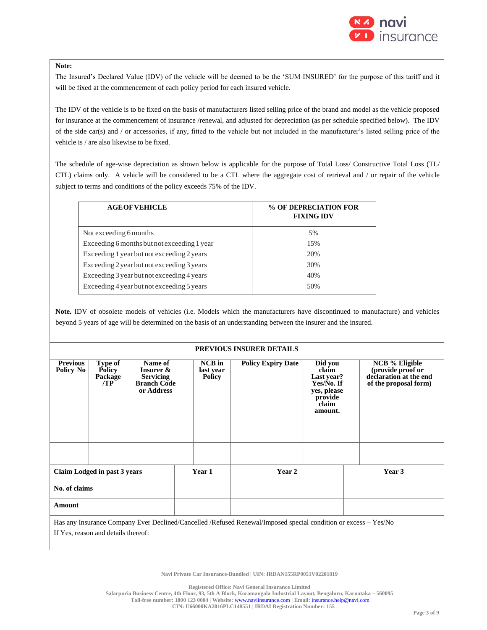

### **Note:**

The Insured's Declared Value (IDV) of the vehicle will be deemed to be the 'SUM INSURED' for the purpose of this tariff and it will be fixed at the commencement of each policy period for each insured vehicle.

The IDV of the vehicle is to be fixed on the basis of manufacturers listed selling price of the brand and model as the vehicle proposed for insurance at the commencement of insurance /renewal, and adjusted for depreciation (as per schedule specified below). The IDV of the side car(s) and / or accessories, if any, fitted to the vehicle but not included in the manufacturer's listed selling price of the vehicle is / are also likewise to be fixed.

The schedule of age-wise depreciation as shown below is applicable for the purpose of Total Loss/ Constructive Total Loss (TL/ CTL) claims only. A vehicle will be considered to be a CTL where the aggregate cost of retrieval and / or repair of the vehicle subject to terms and conditions of the policy exceeds 75% of the IDV.

| <b>AGE OF VEHICLE</b>                       | % OF DEPRECIATION FOR<br><b>FIXING IDV</b> |  |  |  |  |
|---------------------------------------------|--------------------------------------------|--|--|--|--|
| Not exceeding 6 months                      | 5%                                         |  |  |  |  |
| Exceeding 6 months but not exceeding 1 year | 1.5%                                       |  |  |  |  |
| Exceeding 1 year but not exceeding 2 years  | 20%                                        |  |  |  |  |
| Exceeding 2 year but not exceeding 3 years  | 30%                                        |  |  |  |  |
| Exceeding 3 year but not exceeding 4 years  | 40%                                        |  |  |  |  |
| Exceeding 4 year but not exceeding 5 years  | 50%                                        |  |  |  |  |
|                                             |                                            |  |  |  |  |

**Note.** IDV of obsolete models of vehicles (i.e. Models which the manufacturers have discontinued to manufacture) and vehicles beyond 5 years of age will be determined on the basis of an understanding between the insurer and the insured.

#### **PREVIOUS INSURER DETAILS**

| <b>Previous</b>                                                                                                 | Type of                             | Name of                                |           | <b>NCB</b> in | <b>Policy Expiry Date</b> | $\overline{Did}$ you                        | <b>NCB</b> % Eligible |  |
|-----------------------------------------------------------------------------------------------------------------|-------------------------------------|----------------------------------------|-----------|---------------|---------------------------|---------------------------------------------|-----------------------|--|
| Policy No                                                                                                       | <b>Policy</b>                       | Insurer &                              | last year |               | claim                     | (provide proof or<br>declaration at the end |                       |  |
|                                                                                                                 | Package<br>/TP                      | <b>Servicing</b><br><b>Branch Code</b> |           | <b>Policy</b> |                           | Last year?<br>Yes/No. If                    | of the proposal form) |  |
|                                                                                                                 |                                     | or Address                             |           |               |                           | yes, please                                 |                       |  |
|                                                                                                                 |                                     |                                        |           |               |                           | provide                                     |                       |  |
|                                                                                                                 |                                     |                                        |           |               |                           | claim<br>amount.                            |                       |  |
|                                                                                                                 |                                     |                                        |           |               |                           |                                             |                       |  |
|                                                                                                                 |                                     |                                        |           |               |                           |                                             |                       |  |
|                                                                                                                 |                                     |                                        |           |               |                           |                                             |                       |  |
|                                                                                                                 |                                     |                                        |           |               |                           |                                             |                       |  |
|                                                                                                                 |                                     |                                        |           |               |                           |                                             |                       |  |
|                                                                                                                 | Claim Lodged in past 3 years        |                                        |           | Year 1        | Year 2                    |                                             | Year 3                |  |
|                                                                                                                 |                                     |                                        |           |               |                           |                                             |                       |  |
| No. of claims                                                                                                   |                                     |                                        |           |               |                           |                                             |                       |  |
| Amount                                                                                                          |                                     |                                        |           |               |                           |                                             |                       |  |
| Has any Insurance Company Ever Declined/Cancelled /Refused Renewal/Imposed special condition or excess – Yes/No |                                     |                                        |           |               |                           |                                             |                       |  |
|                                                                                                                 | If Yes, reason and details thereof: |                                        |           |               |                           |                                             |                       |  |
|                                                                                                                 |                                     |                                        |           |               |                           |                                             |                       |  |

**Navi Private Car Insurance-Bundled | UIN: IRDAN155RP0051V02201819**

**Registered Office: Navi General Insurance Limited**

**Salarpuria Business Centre, 4th Floor, 93, 5th A Block, Koramangala Industrial Layout, Bengaluru, Karnataka – 560095**

**Toll-free number: 1800 123 0004 | Website:** [www.naviinsurance.com](http://www.naviinsurance.com/) **| Email:** [insurance.help@navi.com](mailto:insurance.help@navi.com)

**CIN: U66000KA2016PLC148551 | IRDAI Registration Number: 155**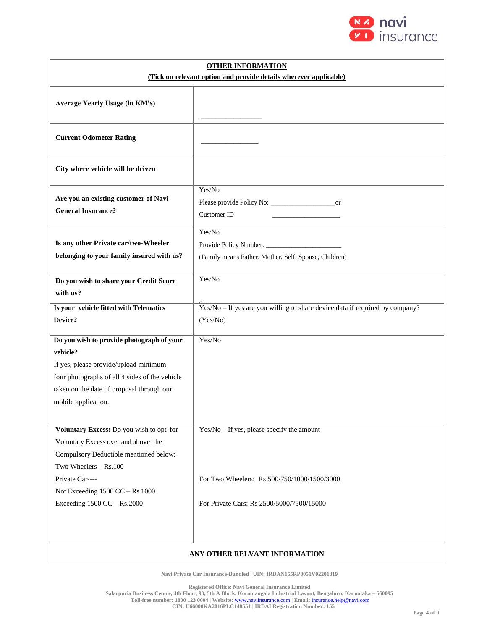

| <b>OTHER INFORMATION</b>                                                                                                                                                                                             |                                                                                          |  |  |  |  |
|----------------------------------------------------------------------------------------------------------------------------------------------------------------------------------------------------------------------|------------------------------------------------------------------------------------------|--|--|--|--|
| (Tick on relevant option and provide details wherever applicable)                                                                                                                                                    |                                                                                          |  |  |  |  |
| Average Yearly Usage (in KM's)                                                                                                                                                                                       |                                                                                          |  |  |  |  |
| <b>Current Odometer Rating</b>                                                                                                                                                                                       |                                                                                          |  |  |  |  |
| City where vehicle will be driven                                                                                                                                                                                    |                                                                                          |  |  |  |  |
| Are you an existing customer of Navi<br><b>General Insurance?</b>                                                                                                                                                    | Yes/No<br><b>Customer ID</b>                                                             |  |  |  |  |
| Is any other Private car/two-Wheeler<br>belonging to your family insured with us?                                                                                                                                    | Yes/No<br>(Family means Father, Mother, Self, Spouse, Children)                          |  |  |  |  |
| Do you wish to share your Credit Score<br>with us?                                                                                                                                                                   | Yes/No                                                                                   |  |  |  |  |
| Is your vehicle fitted with Telematics                                                                                                                                                                               | Yes/No - If yes are you willing to share device data if required by company?             |  |  |  |  |
| Device?                                                                                                                                                                                                              | (Yes/No)                                                                                 |  |  |  |  |
| Do you wish to provide photograph of your<br>vehicle?<br>If yes, please provide/upload minimum<br>four photographs of all 4 sides of the vehicle<br>taken on the date of proposal through our<br>mobile application. | Yes/No                                                                                   |  |  |  |  |
| Voluntary Excess: Do you wish to opt for<br>Voluntary Excess over and above the<br>Compulsory Deductible mentioned below:<br>Two Wheelers - Rs.100                                                                   | $Yes/No - If yes, please specify the amount$                                             |  |  |  |  |
| Private Car----<br>Not Exceeding 1500 CC - Rs.1000<br>Exceeding 1500 CC - Rs.2000                                                                                                                                    | For Two Wheelers: Rs 500/750/1000/1500/3000<br>For Private Cars: Rs 2500/5000/7500/15000 |  |  |  |  |
|                                                                                                                                                                                                                      | ANY OTHER RELVANT INFORMATION                                                            |  |  |  |  |

**Navi Private Car Insurance-Bundled | UIN: IRDAN155RP0051V02201819**

**Registered Office: Navi General Insurance Limited**

 $\mathbf{I}$ 

**Salarpuria Business Centre, 4th Floor, 93, 5th A Block, Koramangala Industrial Layout, Bengaluru, Karnataka – 560095**

**Toll-free number: 1800 123 0004 | Website:** [www.naviinsurance.com](http://www.naviinsurance.com/) **| Email:** [insurance.help@navi.com](mailto:insurance.help@navi.com)

**CIN: U66000KA2016PLC148551 | IRDAI Registration Number: 155**

۰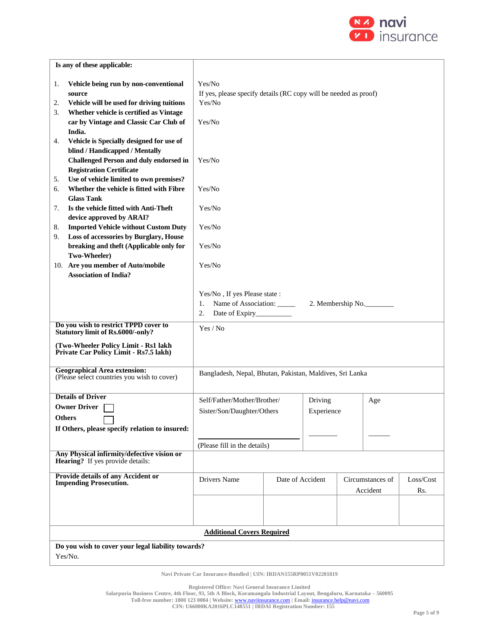

| Is any of these applicable:                                                                                                                                                                                           |                                                                                                |                  |                       |  |                              |                  |
|-----------------------------------------------------------------------------------------------------------------------------------------------------------------------------------------------------------------------|------------------------------------------------------------------------------------------------|------------------|-----------------------|--|------------------------------|------------------|
| Vehicle being run by non-conventional<br>1.<br>source<br>Vehicle will be used for driving tuitions<br>2.<br>Whether vehicle is certified as Vintage<br>3.<br>car by Vintage and Classic Car Club of<br>India.         | Yes/No<br>If yes, please specify details (RC copy will be needed as proof)<br>Yes/No<br>Yes/No |                  |                       |  |                              |                  |
| Vehicle is Specially designed for use of<br>4.<br>blind / Handicapped / Mentally<br><b>Challenged Person and duly endorsed in</b><br><b>Registration Certificate</b><br>Use of vehicle limited to own premises?<br>5. | Yes/No                                                                                         |                  |                       |  |                              |                  |
| Whether the vehicle is fitted with Fibre<br>6.<br><b>Glass Tank</b><br>Is the vehicle fitted with Anti-Theft<br>7.                                                                                                    | Yes/No<br>Yes/No                                                                               |                  |                       |  |                              |                  |
| device approved by ARAI?<br><b>Imported Vehicle without Custom Duty</b><br>8.<br>Loss of accessories by Burglary, House<br>9.<br>breaking and theft (Applicable only for                                              | Yes/No                                                                                         |                  |                       |  |                              |                  |
| Two-Wheeler)<br>10. Are you member of Auto/mobile<br><b>Association of India?</b>                                                                                                                                     | Yes/No<br>Yes/No                                                                               |                  |                       |  |                              |                  |
|                                                                                                                                                                                                                       | Yes/No, If yes Please state:<br>Name of Association:<br>1.<br>2.<br>Date of Expiry___________  |                  |                       |  | 2. Membership No.            |                  |
| Do you wish to restrict TPPD cover to<br><b>Statutory limit of Rs.6000/-only?</b><br>(Two-Wheeler Policy Limit - Rs1 lakh<br>Private Car Policy Limit - Rs7.5 lakh)                                                   | Yes / No                                                                                       |                  |                       |  |                              |                  |
| <b>Geographical Area extension:</b><br>(Please select countries you wish to cover)                                                                                                                                    | Bangladesh, Nepal, Bhutan, Pakistan, Maldives, Sri Lanka                                       |                  |                       |  |                              |                  |
| <b>Details of Driver</b><br><b>Owner Driver</b><br><b>Others</b><br>If Others, please specify relation to insured:                                                                                                    | Self/Father/Mother/Brother/<br>Sister/Son/Daughter/Others                                      |                  | Driving<br>Experience |  | Age                          |                  |
| Any Physical infirmity/defective vision or<br><b>Hearing?</b> If yes provide details:                                                                                                                                 | (Please fill in the details)                                                                   |                  |                       |  |                              |                  |
| <b>Provide details of any Accident or</b><br><b>Impending Prosecution.</b>                                                                                                                                            | Drivers Name                                                                                   | Date of Accident |                       |  | Circumstances of<br>Accident | Loss/Cost<br>Rs. |
|                                                                                                                                                                                                                       |                                                                                                |                  |                       |  |                              |                  |
|                                                                                                                                                                                                                       | <b>Additional Covers Required</b>                                                              |                  |                       |  |                              |                  |
| Do you wish to cover your legal liability towards?<br>Yes/No.                                                                                                                                                         |                                                                                                |                  |                       |  |                              |                  |

**Navi Private Car Insurance-Bundled | UIN: IRDAN155RP0051V02201819**

**Registered Office: Navi General Insurance Limited**

**Toll-free number: 1800 123 0004 | Website:** [www.naviinsurance.com](http://www.naviinsurance.com/) **| Email:** [insurance.help@navi.com](mailto:insurance.help@navi.com)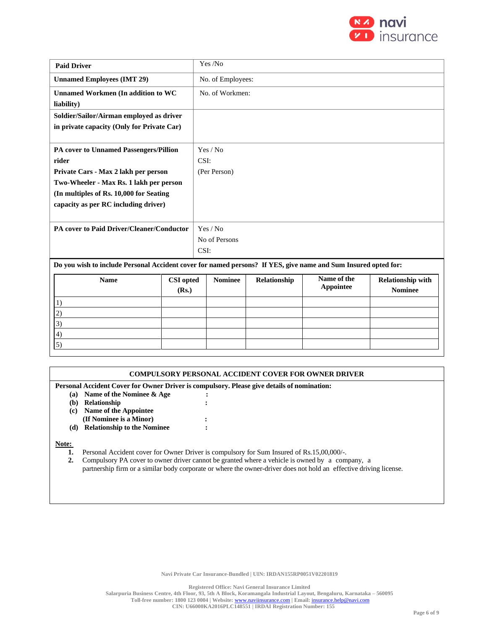

| <b>Paid Driver</b>                                                                                             |                           |      | Yes /No           |              |                          |                                            |  |  |  |
|----------------------------------------------------------------------------------------------------------------|---------------------------|------|-------------------|--------------|--------------------------|--------------------------------------------|--|--|--|
| <b>Unnamed Employees (IMT 29)</b>                                                                              |                           |      | No. of Employees: |              |                          |                                            |  |  |  |
| <b>Unnamed Workmen (In addition to WC</b>                                                                      |                           |      | No. of Workmen:   |              |                          |                                            |  |  |  |
| liability)                                                                                                     |                           |      |                   |              |                          |                                            |  |  |  |
| Soldier/Sailor/Airman employed as driver                                                                       |                           |      |                   |              |                          |                                            |  |  |  |
| in private capacity (Only for Private Car)                                                                     |                           |      |                   |              |                          |                                            |  |  |  |
|                                                                                                                |                           |      |                   |              |                          |                                            |  |  |  |
| PA cover to Unnamed Passengers/Pillion                                                                         |                           |      | Yes / No          |              |                          |                                            |  |  |  |
| rider                                                                                                          |                           | CSI: |                   |              |                          |                                            |  |  |  |
| Private Cars - Max 2 lakh per person                                                                           |                           |      | (Per Person)      |              |                          |                                            |  |  |  |
| Two-Wheeler - Max Rs. 1 lakh per person                                                                        |                           |      |                   |              |                          |                                            |  |  |  |
| (In multiples of Rs. 10,000 for Seating                                                                        |                           |      |                   |              |                          |                                            |  |  |  |
| capacity as per RC including driver)                                                                           |                           |      |                   |              |                          |                                            |  |  |  |
|                                                                                                                |                           |      |                   |              |                          |                                            |  |  |  |
| PA cover to Paid Driver/Cleaner/Conductor                                                                      |                           |      | Yes / No          |              |                          |                                            |  |  |  |
|                                                                                                                |                           |      | No of Persons     |              |                          |                                            |  |  |  |
|                                                                                                                |                           | CSI: |                   |              |                          |                                            |  |  |  |
| Do you wish to include Personal Accident cover for named persons? If YES, give name and Sum Insured opted for: |                           |      |                   |              |                          |                                            |  |  |  |
| <b>Name</b>                                                                                                    | <b>CSI</b> opted<br>(Rs.) |      | <b>Nominee</b>    | Relationship | Name of the<br>Appointee | <b>Relationship with</b><br><b>Nominee</b> |  |  |  |
| 1)                                                                                                             |                           |      |                   |              |                          |                                            |  |  |  |
| 2)                                                                                                             |                           |      |                   |              |                          |                                            |  |  |  |
| 3)                                                                                                             |                           |      |                   |              |                          |                                            |  |  |  |

|       | <b>COMPULSORY PERSONAL ACCIDENT COVER FOR OWNER DRIVER</b>                                 |  |  |  |  |
|-------|--------------------------------------------------------------------------------------------|--|--|--|--|
|       | Personal Accident Cover for Owner Driver is compulsory. Please give details of nomination: |  |  |  |  |
| (a)   | Name of the Nominee & Age                                                                  |  |  |  |  |
| (b)   | Relationship                                                                               |  |  |  |  |
| (c)   | Name of the Appointee                                                                      |  |  |  |  |
|       | (If Nominee is a Minor)                                                                    |  |  |  |  |
| (d)   | <b>Relationship to the Nominee</b>                                                         |  |  |  |  |
| Note: |                                                                                            |  |  |  |  |

#### Note: **Note:**

4) 5)

**1.** Personal Accident cover for Owner Driver is compulsory for Sum Insured of Rs.15,00,000/-.

**2.** Compulsory PA cover to owner driver cannot be granted where a vehicle is owned by a company, a partnership firm or a similar body corporate or where the owner-driver does not hold an effective driving license.

**Registered Office: Navi General Insurance Limited**

**Salarpuria Business Centre, 4th Floor, 93, 5th A Block, Koramangala Industrial Layout, Bengaluru, Karnataka – 560095**

**Toll-free number: 1800 123 0004 | Website:** [www.naviinsurance.com](http://www.naviinsurance.com/) **| Email:** [insurance.help@navi.com](mailto:insurance.help@navi.com)

**CIN: U66000KA2016PLC148551 | IRDAI Registration Number: 155**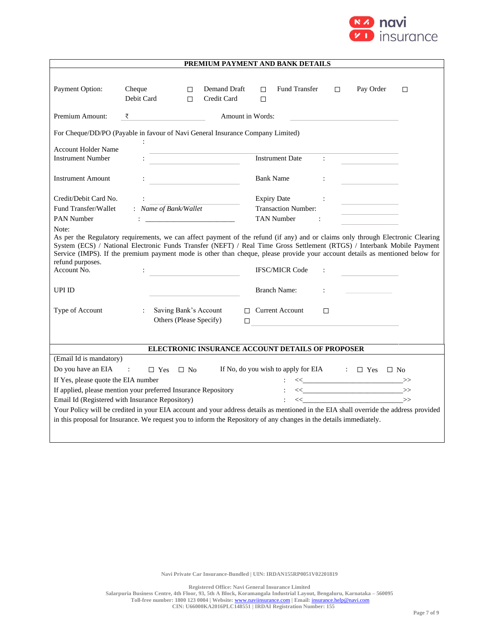

| PREMIUM PAYMENT AND BANK DETAILS                 |                                                                                                                                                                                                                                                                                                                                                                                                                                                             |                             |                                                                             |                      |                                                                                                                                                                                                                                                                                                                                                    |        |  |
|--------------------------------------------------|-------------------------------------------------------------------------------------------------------------------------------------------------------------------------------------------------------------------------------------------------------------------------------------------------------------------------------------------------------------------------------------------------------------------------------------------------------------|-----------------------------|-----------------------------------------------------------------------------|----------------------|----------------------------------------------------------------------------------------------------------------------------------------------------------------------------------------------------------------------------------------------------------------------------------------------------------------------------------------------------|--------|--|
| Payment Option:                                  | Cheque<br>□<br>Debit Card<br>$\Box$                                                                                                                                                                                                                                                                                                                                                                                                                         | Demand Draft<br>Credit Card | Fund Transfer<br>П.<br>$\Box$                                               | $\Box$               | Pay Order                                                                                                                                                                                                                                                                                                                                          | $\Box$ |  |
| Premium Amount:                                  | <u> 1999 - Johann Barbara</u><br>₹                                                                                                                                                                                                                                                                                                                                                                                                                          | Amount in Words:            |                                                                             |                      |                                                                                                                                                                                                                                                                                                                                                    |        |  |
|                                                  | For Cheque/DD/PO (Payable in favour of Navi General Insurance Company Limited)                                                                                                                                                                                                                                                                                                                                                                              |                             |                                                                             |                      |                                                                                                                                                                                                                                                                                                                                                    |        |  |
| <b>Account Holder Name</b>                       | the control of the control of the control of the control of                                                                                                                                                                                                                                                                                                                                                                                                 |                             |                                                                             |                      |                                                                                                                                                                                                                                                                                                                                                    |        |  |
| <b>Instrument Number</b>                         | <u> 1990 - John Stein, Amerikaansk politiker</u>                                                                                                                                                                                                                                                                                                                                                                                                            |                             | <b>Instrument Date</b>                                                      | $\mathcal{L}$        |                                                                                                                                                                                                                                                                                                                                                    |        |  |
| <b>Instrument Amount</b>                         | <u> 1980 - Johann Barbara, martxa alemaniar a</u>                                                                                                                                                                                                                                                                                                                                                                                                           |                             | <b>Bank Name</b>                                                            | ÷                    |                                                                                                                                                                                                                                                                                                                                                    |        |  |
| Credit/Debit Card No.                            |                                                                                                                                                                                                                                                                                                                                                                                                                                                             |                             | <b>Expiry Date</b>                                                          |                      | the control of the control of the                                                                                                                                                                                                                                                                                                                  |        |  |
| Fund Transfer/Wallet                             | : Name of Bank/Wallet                                                                                                                                                                                                                                                                                                                                                                                                                                       |                             | <b>Transaction Number:</b>                                                  |                      | the control of the control of the control                                                                                                                                                                                                                                                                                                          |        |  |
| <b>PAN Number</b>                                |                                                                                                                                                                                                                                                                                                                                                                                                                                                             |                             | <b>TAN Number</b>                                                           | $\ddot{\cdot}$       |                                                                                                                                                                                                                                                                                                                                                    |        |  |
| Note:<br>refund purposes.<br>Account No.         | As per the Regulatory requirements, we can affect payment of the refund (if any) and or claims only through Electronic Clearing<br>System (ECS) / National Electronic Funds Transfer (NEFT) / Real Time Gross Settlement (RTGS) / Interbank Mobile Payment<br>Service (IMPS). If the premium payment mode is other than cheque, please provide your account details as mentioned below for<br><u> 1990 - Johann Barn, mars an t-Amerikaansk politiker (</u> |                             | <b>IFSC/MICR Code</b>                                                       |                      |                                                                                                                                                                                                                                                                                                                                                    |        |  |
| <b>UPI ID</b>                                    |                                                                                                                                                                                                                                                                                                                                                                                                                                                             |                             | <b>Branch Name:</b>                                                         | $\ddot{\phantom{a}}$ |                                                                                                                                                                                                                                                                                                                                                    |        |  |
| Type of Account                                  | Saving Bank's Account<br>$\ddot{\cdot}$<br>Others (Please Specify)                                                                                                                                                                                                                                                                                                                                                                                          | $\Box$                      | $\Box$ Current Account<br><u> 1989 - Johann Barbara, martxa alemaniar a</u> | $\Box$               |                                                                                                                                                                                                                                                                                                                                                    |        |  |
| ELECTRONIC INSURANCE ACCOUNT DETAILS OF PROPOSER |                                                                                                                                                                                                                                                                                                                                                                                                                                                             |                             |                                                                             |                      |                                                                                                                                                                                                                                                                                                                                                    |        |  |
| (Email Id is mandatory)                          |                                                                                                                                                                                                                                                                                                                                                                                                                                                             |                             |                                                                             |                      |                                                                                                                                                                                                                                                                                                                                                    |        |  |
| Do you have an EIA                               | $\sim 10^{10}$ m $^{-1}$<br>$\Box$ Yes<br>$\Box$ No                                                                                                                                                                                                                                                                                                                                                                                                         |                             | If No, do you wish to apply for EIA $\Box$ Yes $\Box$ No                    |                      |                                                                                                                                                                                                                                                                                                                                                    |        |  |
| If Yes, please quote the EIA number              |                                                                                                                                                                                                                                                                                                                                                                                                                                                             |                             |                                                                             |                      | $\iff \qquad \qquad \Longrightarrow$                                                                                                                                                                                                                                                                                                               |        |  |
|                                                  | If applied, please mention your preferred Insurance Repository                                                                                                                                                                                                                                                                                                                                                                                              |                             |                                                                             |                      | $\left\langle \left\langle \begin{array}{ccc} 0 & 0 & 0 \\ 0 & 0 & 0 \\ 0 & 0 & 0 \\ 0 & 0 & 0 \\ 0 & 0 & 0 \\ 0 & 0 & 0 \\ 0 & 0 & 0 \\ 0 & 0 & 0 \\ 0 & 0 & 0 \\ 0 & 0 & 0 \\ 0 & 0 & 0 \\ 0 & 0 & 0 \\ 0 & 0 & 0 \\ 0 & 0 & 0 & 0 \\ 0 & 0 & 0 & 0 \\ 0 & 0 & 0 & 0 \\ 0 & 0 & 0 & 0 & 0 \\ 0 & 0 & 0 & 0 & 0 \\ 0 & 0 & 0 & 0 & 0 \\ 0 & 0 & $ |        |  |
|                                                  | Email Id (Registered with Insurance Repository)                                                                                                                                                                                                                                                                                                                                                                                                             |                             |                                                                             |                      | $\left\langle \left\langle \begin{array}{cc} 0 & 0 \\ 0 & 0 \end{array} \right\rangle \right\rangle \geq 0.$                                                                                                                                                                                                                                       |        |  |
|                                                  | Your Policy will be credited in your EIA account and your address details as mentioned in the EIA shall override the address provided                                                                                                                                                                                                                                                                                                                       |                             |                                                                             |                      |                                                                                                                                                                                                                                                                                                                                                    |        |  |
|                                                  | in this proposal for Insurance. We request you to inform the Repository of any changes in the details immediately.                                                                                                                                                                                                                                                                                                                                          |                             |                                                                             |                      |                                                                                                                                                                                                                                                                                                                                                    |        |  |
|                                                  |                                                                                                                                                                                                                                                                                                                                                                                                                                                             |                             |                                                                             |                      |                                                                                                                                                                                                                                                                                                                                                    |        |  |

**Registered Office: Navi General Insurance Limited**

**Salarpuria Business Centre, 4th Floor, 93, 5th A Block, Koramangala Industrial Layout, Bengaluru, Karnataka – 560095**

**Toll-free number: 1800 123 0004 | Website:** [www.naviinsurance.com](http://www.naviinsurance.com/) **| Email:** [insurance.help@navi.com](mailto:insurance.help@navi.com) **CIN: U66000KA2016PLC148551 | IRDAI Registration Number: 155**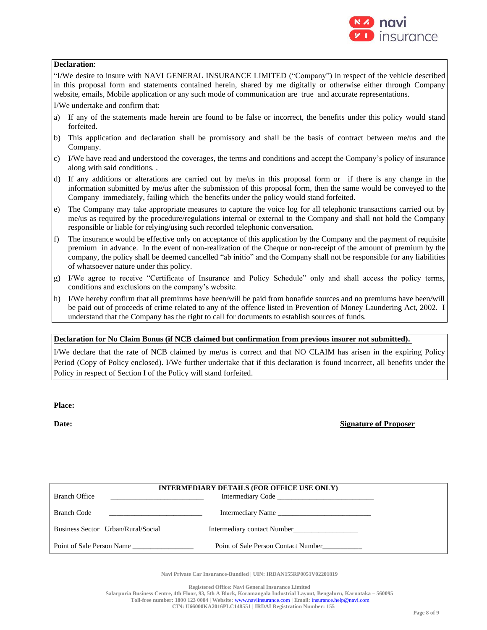

## **Declaration**:

"I/We desire to insure with NAVI GENERAL INSURANCE LIMITED ("Company") in respect of the vehicle described in this proposal form and statements contained herein, shared by me digitally or otherwise either through Company website, emails, Mobile application or any such mode of communication are true and accurate representations.

I/We undertake and confirm that:

- a) If any of the statements made herein are found to be false or incorrect, the benefits under this policy would stand forfeited.
- b) This application and declaration shall be promissory and shall be the basis of contract between me/us and the Company.
- c) I/We have read and understood the coverages, the terms and conditions and accept the Company's policy of insurance along with said conditions. .
- d) If any additions or alterations are carried out by me/us in this proposal form or if there is any change in the information submitted by me/us after the submission of this proposal form, then the same would be conveyed to the Company immediately, failing which the benefits under the policy would stand forfeited.
- e) The Company may take appropriate measures to capture the voice log for all telephonic transactions carried out by me/us as required by the procedure/regulations internal or external to the Company and shall not hold the Company responsible or liable for relying/using such recorded telephonic conversation.
- f) The insurance would be effective only on acceptance of this application by the Company and the payment of requisite premium in advance. In the event of non-realization of the Cheque or non-receipt of the amount of premium by the company, the policy shall be deemed cancelled "ab initio" and the Company shall not be responsible for any liabilities of whatsoever nature under this policy.
- g) I/We agree to receive "Certificate of Insurance and Policy Schedule" only and shall access the policy terms, conditions and exclusions on the company's website.
- h) I/We hereby confirm that all premiums have been/will be paid from bonafide sources and no premiums have been/will be paid out of proceeds of crime related to any of the offence listed in Prevention of Money Laundering Act, 2002. I understand that the Company has the right to call for documents to establish sources of funds.

## **Declaration for No Claim Bonus (if NCB claimed but confirmation from previous insurer not submitted).**

I/We declare that the rate of NCB claimed by me/us is correct and that NO CLAIM has arisen in the expiring Policy Period (Copy of Policy enclosed). I/We further undertake that if this declaration is found incorrect, all benefits under the Policy in respect of Section I of the Policy will stand forfeited.

**Place:**

**Date: Signature of Proposer**

| <b>INTERMEDIARY DETAILS (FOR OFFICE USE ONLY)</b> |                                     |  |  |
|---------------------------------------------------|-------------------------------------|--|--|
| <b>Branch Office</b>                              |                                     |  |  |
| <b>Branch Code</b>                                | Intermediary Name                   |  |  |
| Business Sector Urban/Rural/Social                | Intermediary contact Number         |  |  |
| Point of Sale Person Name                         | Point of Sale Person Contact Number |  |  |

**Navi Private Car Insurance-Bundled | UIN: IRDAN155RP0051V02201819**

**Registered Office: Navi General Insurance Limited**